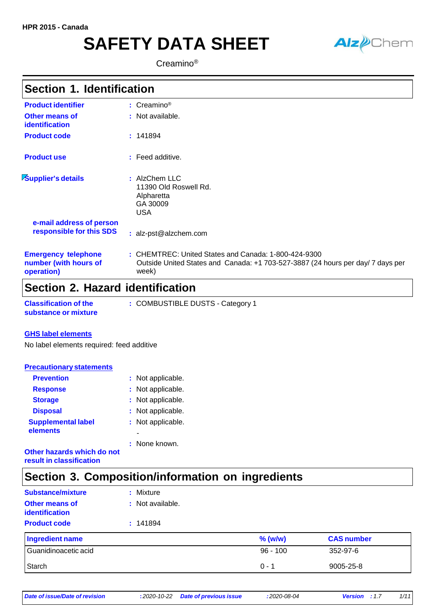# **SAFETY DATA SHEET**



Creamino®

| <b>Section 1. Identification</b>                                  |                                                                                                                                                 |
|-------------------------------------------------------------------|-------------------------------------------------------------------------------------------------------------------------------------------------|
| <b>Product identifier</b>                                         | : $C$ reamino <sup>®</sup>                                                                                                                      |
| Other means of<br><i>identification</i>                           | : Not available.                                                                                                                                |
| <b>Product code</b>                                               | : 141894                                                                                                                                        |
| <b>Product use</b>                                                | $:$ Feed additive.                                                                                                                              |
| Supplier's details                                                | : AlzChem LLC<br>11390 Old Roswell Rd.<br>Alpharetta<br>GA 30009<br><b>USA</b>                                                                  |
| e-mail address of person<br>responsible for this SDS              | : alz-pst@alzchem.com                                                                                                                           |
| <b>Emergency telephone</b><br>number (with hours of<br>operation) | : CHEMTREC: United States and Canada: 1-800-424-9300<br>Outside United States and Canada: +1 703-527-3887 (24 hours per day/7 days per<br>week) |

## **Section 2. Hazard identification**

| <b>Classification of the</b> | : COMBUSTIBLE DUSTS - Category 1 |
|------------------------------|----------------------------------|
| substance or mixture         |                                  |

#### **GHS label elements**

No label elements required: feed additive

| <b>Precautionary statements</b>       |                   |
|---------------------------------------|-------------------|
| <b>Prevention</b>                     | : Not applicable. |
| <b>Response</b>                       | : Not applicable. |
| <b>Storage</b>                        | : Not applicable. |
| <b>Disposal</b>                       | : Not applicable. |
| <b>Supplemental label</b><br>elements | : Not applicable. |
| Other hazards which do not            | : None known.     |

**result in classification**

## **Section 3. Composition/information on ingredients**

| <b>Substance/mixture</b>                | : Mixture        |
|-----------------------------------------|------------------|
| <b>Other means of</b><br>identification | : Not available. |
| <b>Product code</b>                     | : 141894         |
|                                         |                  |

| Ingredient name      | $%$ (w/w)  | <b>CAS number</b> |
|----------------------|------------|-------------------|
| Guanidinoacetic acid | $96 - 100$ | 352-97-6          |
| Starch               | $0 - 1$    | 9005-25-8         |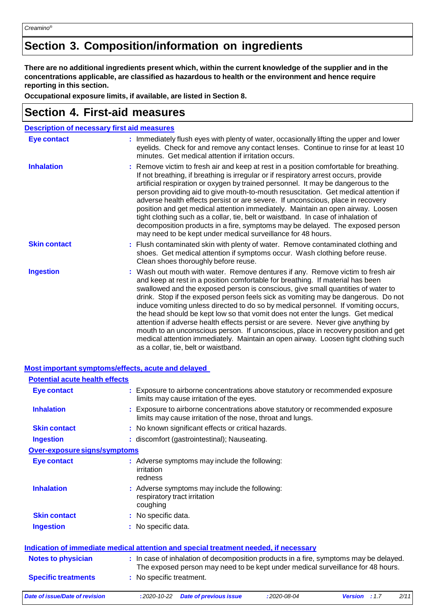## **Section 3. Composition/information on ingredients**

There are no additional ingredients present which, within the current knowledge of the supplier and in the **concentrations applicable, are classified as hazardous to health or the environment and hence require reporting in this section.**

**Occupational exposure limits, if available, are listed in Section 8.**

### **Section 4. First-aid measures**

| <b>Description of necessary first aid measures</b> |                                                                                                                                                                                                                                                                                                                                                                                                                                                                                                                                                                                                                                                                                                                                                                                                                              |
|----------------------------------------------------|------------------------------------------------------------------------------------------------------------------------------------------------------------------------------------------------------------------------------------------------------------------------------------------------------------------------------------------------------------------------------------------------------------------------------------------------------------------------------------------------------------------------------------------------------------------------------------------------------------------------------------------------------------------------------------------------------------------------------------------------------------------------------------------------------------------------------|
| <b>Eye contact</b>                                 | : Immediately flush eyes with plenty of water, occasionally lifting the upper and lower<br>eyelids. Check for and remove any contact lenses. Continue to rinse for at least 10<br>minutes. Get medical attention if irritation occurs.                                                                                                                                                                                                                                                                                                                                                                                                                                                                                                                                                                                       |
| <b>Inhalation</b>                                  | : Remove victim to fresh air and keep at rest in a position comfortable for breathing.<br>If not breathing, if breathing is irregular or if respiratory arrest occurs, provide<br>artificial respiration or oxygen by trained personnel. It may be dangerous to the<br>person providing aid to give mouth-to-mouth resuscitation. Get medical attention if<br>adverse health effects persist or are severe. If unconscious, place in recovery<br>position and get medical attention immediately. Maintain an open airway. Loosen<br>tight clothing such as a collar, tie, belt or waistband. In case of inhalation of<br>decomposition products in a fire, symptoms may be delayed. The exposed person<br>may need to be kept under medical surveillance for 48 hours.                                                       |
| <b>Skin contact</b>                                | : Flush contaminated skin with plenty of water. Remove contaminated clothing and<br>shoes. Get medical attention if symptoms occur. Wash clothing before reuse.<br>Clean shoes thoroughly before reuse.                                                                                                                                                                                                                                                                                                                                                                                                                                                                                                                                                                                                                      |
| <b>Ingestion</b>                                   | : Wash out mouth with water. Remove dentures if any. Remove victim to fresh air<br>and keep at rest in a position comfortable for breathing. If material has been<br>swallowed and the exposed person is conscious, give small quantities of water to<br>drink. Stop if the exposed person feels sick as vomiting may be dangerous. Do not<br>induce vomiting unless directed to do so by medical personnel. If vomiting occurs,<br>the head should be kept low so that vomit does not enter the lungs. Get medical<br>attention if adverse health effects persist or are severe. Never give anything by<br>mouth to an unconscious person. If unconscious, place in recovery position and get<br>medical attention immediately. Maintain an open airway. Loosen tight clothing such<br>as a collar, tie, belt or waistband. |

#### **Most important symptoms/effects, acute and delayed**

| <b>Potential acute health effects</b> |                                                                                                                                                                          |
|---------------------------------------|--------------------------------------------------------------------------------------------------------------------------------------------------------------------------|
| <b>Eye contact</b>                    | : Exposure to airborne concentrations above statutory or recommended exposure<br>limits may cause irritation of the eyes.                                                |
| <b>Inhalation</b>                     | : Exposure to airborne concentrations above statutory or recommended exposure<br>limits may cause irritation of the nose, throat and lungs.                              |
| <b>Skin contact</b>                   | : No known significant effects or critical hazards.                                                                                                                      |
| <b>Ingestion</b>                      | : discomfort (gastrointestinal); Nauseating.                                                                                                                             |
| Over-exposure signs/symptoms          |                                                                                                                                                                          |
| <b>Eye contact</b>                    | : Adverse symptoms may include the following:<br>irritation<br>redness                                                                                                   |
| <b>Inhalation</b>                     | : Adverse symptoms may include the following:<br>respiratory tract irritation<br>coughing                                                                                |
| <b>Skin contact</b>                   | : No specific data.                                                                                                                                                      |
| <b>Ingestion</b>                      | : No specific data.                                                                                                                                                      |
|                                       | <b>Indication of immediate medical attention and special treatment needed, if necessary</b>                                                                              |
| <b>Notes to physician</b>             | : In case of inhalation of decomposition products in a fire, symptoms may be delayed.<br>The exposed person may need to be kept under medical surveillance for 48 hours. |
| <b>Specific treatments</b>            | : No specific treatment.                                                                                                                                                 |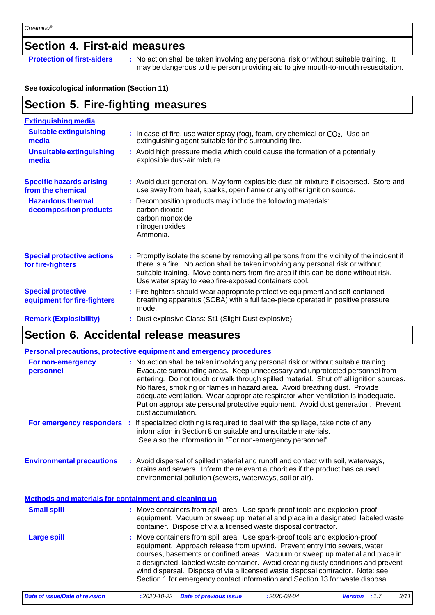## **Section 4. First-aid measures**

**Protection of first-aiders** : No action shall be taken involving any personal risk or without suitable training. It may be dangerous to the person providing aid to give mouth-to-mouth resuscitation.

### **See toxicological information (Section 11)**

## **Section 5. Fire-fighting measures**

| <b>Extinguishing media</b><br><b>Suitable extinguishing</b> |                                                                                                                                                                                                                                                                                                                               |
|-------------------------------------------------------------|-------------------------------------------------------------------------------------------------------------------------------------------------------------------------------------------------------------------------------------------------------------------------------------------------------------------------------|
| media                                                       | : In case of fire, use water spray (fog), foam, dry chemical or $CO2$ . Use an<br>extinguishing agent suitable for the surrounding fire.                                                                                                                                                                                      |
| <b>Unsuitable extinguishing</b><br>media                    | : Avoid high pressure media which could cause the formation of a potentially<br>explosible dust-air mixture.                                                                                                                                                                                                                  |
| <b>Specific hazards arising</b><br>from the chemical        | : Avoid dust generation. May form explosible dust-air mixture if dispersed. Store and<br>use away from heat, sparks, open flame or any other ignition source.                                                                                                                                                                 |
| <b>Hazardous thermal</b><br>decomposition products          | : Decomposition products may include the following materials:<br>carbon dioxide<br>carbon monoxide<br>nitrogen oxides<br>Ammonia.                                                                                                                                                                                             |
| <b>Special protective actions</b><br>for fire-fighters      | : Promptly isolate the scene by removing all persons from the vicinity of the incident if<br>there is a fire. No action shall be taken involving any personal risk or without<br>suitable training. Move containers from fire area if this can be done without risk.<br>Use water spray to keep fire-exposed containers cool. |
| <b>Special protective</b><br>equipment for fire-fighters    | : Fire-fighters should wear appropriate protective equipment and self-contained<br>breathing apparatus (SCBA) with a full face-piece operated in positive pressure<br>mode.                                                                                                                                                   |
| <b>Remark (Explosibility)</b>                               | : Dust explosive Class: St1 (Slight Dust explosive)                                                                                                                                                                                                                                                                           |

## **Section 6. Accidental release measures**

|                                                              | <b>Personal precautions, protective equipment and emergency procedures</b>                                                                                                                                                                                                                                                                                                                                                                                                                                                                  |
|--------------------------------------------------------------|---------------------------------------------------------------------------------------------------------------------------------------------------------------------------------------------------------------------------------------------------------------------------------------------------------------------------------------------------------------------------------------------------------------------------------------------------------------------------------------------------------------------------------------------|
| For non-emergency<br>personnel                               | : No action shall be taken involving any personal risk or without suitable training.<br>Evacuate surrounding areas. Keep unnecessary and unprotected personnel from<br>entering. Do not touch or walk through spilled material. Shut off all ignition sources.<br>No flares, smoking or flames in hazard area. Avoid breathing dust. Provide<br>adequate ventilation. Wear appropriate respirator when ventilation is inadequate.<br>Put on appropriate personal protective equipment. Avoid dust generation. Prevent<br>dust accumulation. |
| For emergency responders :                                   | If specialized clothing is required to deal with the spillage, take note of any<br>information in Section 8 on suitable and unsuitable materials.<br>See also the information in "For non-emergency personnel".                                                                                                                                                                                                                                                                                                                             |
| <b>Environmental precautions</b>                             | : Avoid dispersal of spilled material and runoff and contact with soil, waterways,<br>drains and sewers. Inform the relevant authorities if the product has caused<br>environmental pollution (sewers, waterways, soil or air).                                                                                                                                                                                                                                                                                                             |
| <b>Methods and materials for containment and cleaning up</b> |                                                                                                                                                                                                                                                                                                                                                                                                                                                                                                                                             |
| <b>Small spill</b>                                           | : Move containers from spill area. Use spark-proof tools and explosion-proof<br>equipment. Vacuum or sweep up material and place in a designated, labeled waste<br>container. Dispose of via a licensed waste disposal contractor.                                                                                                                                                                                                                                                                                                          |
| <b>Large spill</b>                                           | Move containers from spill area. Use spark-proof tools and explosion-proof<br>equipment. Approach release from upwind. Prevent entry into sewers, water<br>courses, basements or confined areas. Vacuum or sweep up material and place in<br>a designated, labeled waste container. Avoid creating dusty conditions and prevent<br>wind dispersal. Dispose of via a licensed waste disposal contractor. Note: see<br>Section 1 for emergency contact information and Section 13 for waste disposal.                                         |
| <b>Date of issue/Date of revision</b>                        | 3/11<br>$:2020 - 08 - 04$<br>$:2020 - 10 - 22$<br><b>Date of previous issue</b><br>Version : 1.7                                                                                                                                                                                                                                                                                                                                                                                                                                            |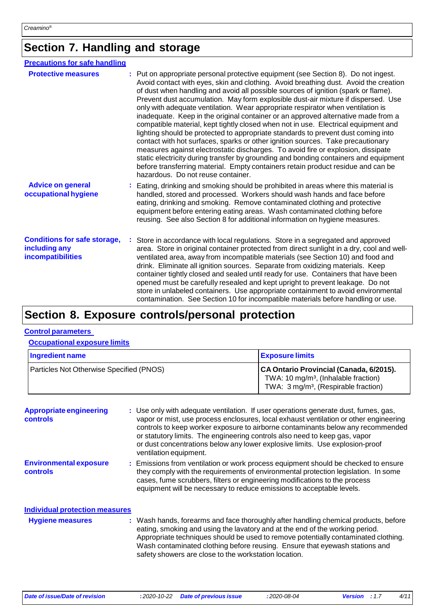## **Section 7. Handling and storage**

| <b>Precautions for safe handling</b>                                             |                                                                                                                                                                                                                                                                                                                                                                                                                                                                                                                                                                                                                                                                                                                                                                                                                                                                                                                                                                                                                                                                                                   |
|----------------------------------------------------------------------------------|---------------------------------------------------------------------------------------------------------------------------------------------------------------------------------------------------------------------------------------------------------------------------------------------------------------------------------------------------------------------------------------------------------------------------------------------------------------------------------------------------------------------------------------------------------------------------------------------------------------------------------------------------------------------------------------------------------------------------------------------------------------------------------------------------------------------------------------------------------------------------------------------------------------------------------------------------------------------------------------------------------------------------------------------------------------------------------------------------|
| <b>Protective measures</b>                                                       | : Put on appropriate personal protective equipment (see Section 8). Do not ingest.<br>Avoid contact with eyes, skin and clothing. Avoid breathing dust. Avoid the creation<br>of dust when handling and avoid all possible sources of ignition (spark or flame).<br>Prevent dust accumulation. May form explosible dust-air mixture if dispersed. Use<br>only with adequate ventilation. Wear appropriate respirator when ventilation is<br>inadequate. Keep in the original container or an approved alternative made from a<br>compatible material, kept tightly closed when not in use. Electrical equipment and<br>lighting should be protected to appropriate standards to prevent dust coming into<br>contact with hot surfaces, sparks or other ignition sources. Take precautionary<br>measures against electrostatic discharges. To avoid fire or explosion, dissipate<br>static electricity during transfer by grounding and bonding containers and equipment<br>before transferring material. Empty containers retain product residue and can be<br>hazardous. Do not reuse container. |
| <b>Advice on general</b><br>occupational hygiene                                 | : Eating, drinking and smoking should be prohibited in areas where this material is<br>handled, stored and processed. Workers should wash hands and face before<br>eating, drinking and smoking. Remove contaminated clothing and protective<br>equipment before entering eating areas. Wash contaminated clothing before<br>reusing. See also Section 8 for additional information on hygiene measures.                                                                                                                                                                                                                                                                                                                                                                                                                                                                                                                                                                                                                                                                                          |
| <b>Conditions for safe storage,</b><br>including any<br><b>incompatibilities</b> | : Store in accordance with local regulations. Store in a segregated and approved<br>area. Store in original container protected from direct sunlight in a dry, cool and well-<br>ventilated area, away from incompatible materials (see Section 10) and food and<br>drink. Eliminate all ignition sources. Separate from oxidizing materials. Keep<br>container tightly closed and sealed until ready for use. Containers that have been<br>opened must be carefully resealed and kept upright to prevent leakage. Do not<br>store in unlabeled containers. Use appropriate containment to avoid environmental<br>contamination. See Section 10 for incompatible materials before handling or use.                                                                                                                                                                                                                                                                                                                                                                                                |

### **Section 8. Exposure controls/personal protection**

#### **Control parameters**

#### **Occupational exposure limits**

| Ingredient name                                 | <b>Exposure limits</b>                                                                                                                          |  |
|-------------------------------------------------|-------------------------------------------------------------------------------------------------------------------------------------------------|--|
| <b>Particles Not Otherwise Specified (PNOS)</b> | CA Ontario Provincial (Canada, 6/2015).<br>TWA: 10 mg/m <sup>3</sup> , (Inhalable fraction)<br>TWA: 3 mg/m <sup>3</sup> , (Respirable fraction) |  |

**Appropriate engineering controls Environmental exposure controls :** Use only with adequate ventilation. If user operations generate dust, fumes, gas, vapor or mist, use process enclosures, local exhaust ventilation or other engineering controls to keep worker exposure to airborne contaminants below any recommended or statutory limits. The engineering controls also need to keep gas, vapor or dust concentrations below any lower explosive limits. Use explosion-proof ventilation equipment. **:** Emissions from ventilation or work process equipment should be checked to ensure they comply with the requirements of environmental protection legislation. In some cases, fume scrubbers, filters or engineering modifications to the process equipment will be necessary to reduce emissions to acceptable levels. **Individual protection measures Hygiene measures :** Wash hands, forearms and face thoroughly after handling chemical products, before eating, smoking and using the lavatory and at the end of the working period. Appropriate techniques should be used to remove potentially contaminated clothing. Wash contaminated clothing before reusing. Ensure that eyewash stations and safety showers are close to the workstation location.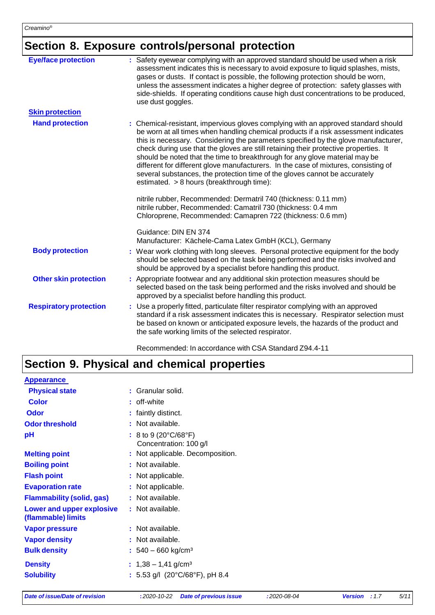## **Section 8. Exposure controls/personal protection**

| <b>Eye/face protection</b>    | : Safety eyewear complying with an approved standard should be used when a risk<br>assessment indicates this is necessary to avoid exposure to liquid splashes, mists,<br>gases or dusts. If contact is possible, the following protection should be worn,<br>unless the assessment indicates a higher degree of protection: safety glasses with<br>side-shields. If operating conditions cause high dust concentrations to be produced,<br>use dust goggles.                                                                                                                                                                                            |
|-------------------------------|----------------------------------------------------------------------------------------------------------------------------------------------------------------------------------------------------------------------------------------------------------------------------------------------------------------------------------------------------------------------------------------------------------------------------------------------------------------------------------------------------------------------------------------------------------------------------------------------------------------------------------------------------------|
| <b>Skin protection</b>        |                                                                                                                                                                                                                                                                                                                                                                                                                                                                                                                                                                                                                                                          |
| <b>Hand protection</b>        | : Chemical-resistant, impervious gloves complying with an approved standard should<br>be worn at all times when handling chemical products if a risk assessment indicates<br>this is necessary. Considering the parameters specified by the glove manufacturer,<br>check during use that the gloves are still retaining their protective properties. It<br>should be noted that the time to breakthrough for any glove material may be<br>different for different glove manufacturers. In the case of mixtures, consisting of<br>several substances, the protection time of the gloves cannot be accurately<br>estimated. > 8 hours (breakthrough time): |
|                               | nitrile rubber, Recommended: Dermatril 740 (thickness: 0.11 mm)<br>nitrile rubber, Recommended: Camatril 730 (thickness: 0.4 mm<br>Chloroprene, Recommended: Camapren 722 (thickness: 0.6 mm)                                                                                                                                                                                                                                                                                                                                                                                                                                                            |
|                               | Guidance: DIN EN 374<br>Manufacturer: Kächele-Cama Latex GmbH (KCL), Germany                                                                                                                                                                                                                                                                                                                                                                                                                                                                                                                                                                             |
| <b>Body protection</b>        | : Wear work clothing with long sleeves. Personal protective equipment for the body<br>should be selected based on the task being performed and the risks involved and<br>should be approved by a specialist before handling this product.                                                                                                                                                                                                                                                                                                                                                                                                                |
| <b>Other skin protection</b>  | : Appropriate footwear and any additional skin protection measures should be<br>selected based on the task being performed and the risks involved and should be<br>approved by a specialist before handling this product.                                                                                                                                                                                                                                                                                                                                                                                                                                |
| <b>Respiratory protection</b> | : Use a properly fitted, particulate filter respirator complying with an approved<br>standard if a risk assessment indicates this is necessary. Respirator selection must<br>be based on known or anticipated exposure levels, the hazards of the product and<br>the safe working limits of the selected respirator.                                                                                                                                                                                                                                                                                                                                     |

Recommended: In accordance with CSA Standard Z94.4-11

## **Section 9. Physical and chemical properties**

| <b>Appearance</b>                                      |                                                                      |
|--------------------------------------------------------|----------------------------------------------------------------------|
| <b>Physical state</b>                                  | : Granular solid.                                                    |
| <b>Color</b>                                           | : off-white                                                          |
| <b>Odor</b>                                            | : faintly distinct.                                                  |
| <b>Odor threshold</b>                                  | : Not available.                                                     |
| pH                                                     | : 8 to 9 (20 $^{\circ}$ C/68 $^{\circ}$ F)<br>Concentration: 100 g/l |
| <b>Melting point</b>                                   | : Not applicable. Decomposition.                                     |
| <b>Boiling point</b>                                   | : Not available.                                                     |
| <b>Flash point</b>                                     | : Not applicable.                                                    |
| <b>Evaporation rate</b>                                | : Not applicable.                                                    |
| <b>Flammability (solid, gas)</b>                       | : Not available.                                                     |
| <b>Lower and upper explosive</b><br>(flammable) limits | : Not available.                                                     |
| <b>Vapor pressure</b>                                  | : Not available.                                                     |
| <b>Vapor density</b>                                   | : Not available.                                                     |
| <b>Bulk density</b>                                    | $: 540 - 660$ kg/cm <sup>3</sup>                                     |
| <b>Density</b>                                         | $: 1,38 - 1,41$ g/cm <sup>3</sup>                                    |
| <b>Solubility</b>                                      | : 5.53 g/l $(20^{\circ}C/68^{\circ}F)$ , pH 8.4                      |
|                                                        |                                                                      |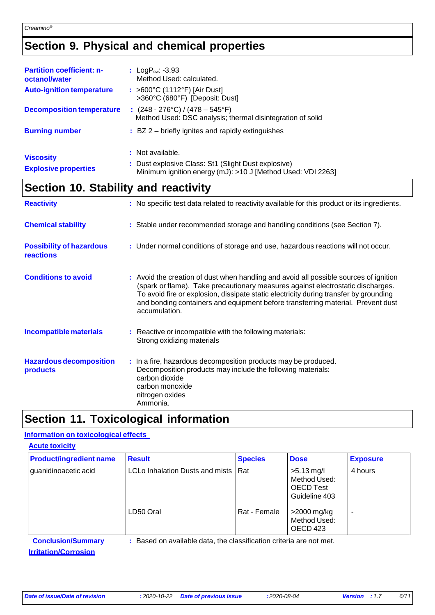## **Section 9. Physical and chemical properties**

| <b>Partition coefficient: n-</b><br>octanol/water | : $LogP_{ow}: -3.93$<br>Method Used: calculated.                                                                                       |
|---------------------------------------------------|----------------------------------------------------------------------------------------------------------------------------------------|
| <b>Auto-ignition temperature</b>                  | : >600°C (1112°F) [Air Dust]<br>>360°C (680°F) [Deposit: Dust]                                                                         |
| <b>Decomposition temperature</b>                  | : $(248 - 276^{\circ} \text{C}) / (478 - 545^{\circ} \text{F})$<br>Method Used: DSC analysis; thermal disintegration of solid          |
| <b>Burning number</b>                             | $\pm$ BZ 2 – briefly ignites and rapidly extinguishes                                                                                  |
| <b>Viscosity</b><br><b>Explosive properties</b>   | : Not available.<br>: Dust explosive Class: St1 (Slight Dust explosive)<br>Minimum ignition energy (mJ): >10 J [Method Used: VDI 2263] |

## **Section 10. Stability and reactivity**

| <b>Reactivity</b>                                 | : No specific test data related to reactivity available for this product or its ingredients.                                                                                                                                                                                                                                                                          |
|---------------------------------------------------|-----------------------------------------------------------------------------------------------------------------------------------------------------------------------------------------------------------------------------------------------------------------------------------------------------------------------------------------------------------------------|
| <b>Chemical stability</b>                         | : Stable under recommended storage and handling conditions (see Section 7).                                                                                                                                                                                                                                                                                           |
| <b>Possibility of hazardous</b><br>reactions      | : Under normal conditions of storage and use, hazardous reactions will not occur.                                                                                                                                                                                                                                                                                     |
| <b>Conditions to avoid</b>                        | : Avoid the creation of dust when handling and avoid all possible sources of ignition<br>(spark or flame). Take precautionary measures against electrostatic discharges.<br>To avoid fire or explosion, dissipate static electricity during transfer by grounding<br>and bonding containers and equipment before transferring material. Prevent dust<br>accumulation. |
| <b>Incompatible materials</b>                     | : Reactive or incompatible with the following materials:<br>Strong oxidizing materials                                                                                                                                                                                                                                                                                |
| <b>Hazardous decomposition</b><br><b>products</b> | : In a fire, hazardous decomposition products may be produced.<br>Decomposition products may include the following materials:<br>carbon dioxide<br>carbon monoxide<br>nitrogen oxides<br>Ammonia.                                                                                                                                                                     |

## **Section 11. Toxicological information**

### **Information on toxicological effects**

| <b>Acute toxicity</b>          |                                                                     |                |                                                                   |                          |
|--------------------------------|---------------------------------------------------------------------|----------------|-------------------------------------------------------------------|--------------------------|
| <b>Product/ingredient name</b> | <b>Result</b>                                                       | <b>Species</b> | <b>Dose</b>                                                       | <b>Exposure</b>          |
| guanidinoacetic acid           | LCLo Inhalation Dusts and mists                                     | l Rat          | $>5.13$ mg/l<br>Method Used:<br><b>OECD Test</b><br>Guideline 403 | 4 hours                  |
|                                | LD50 Oral                                                           | Rat - Female   | >2000 mg/kg<br>Method Used:<br>OECD <sub>423</sub>                | $\overline{\phantom{0}}$ |
| <b>Conclusion/Summary</b>      | : Based on available data, the classification criteria are not met. |                |                                                                   |                          |
| <b>Irritation/Corrosion</b>    |                                                                     |                |                                                                   |                          |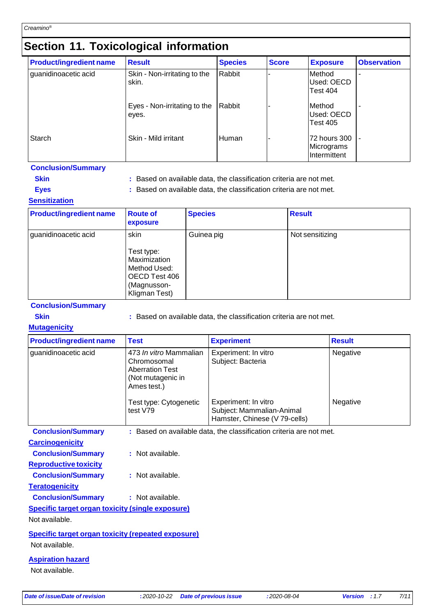## **Section 11. Toxicological information**

|                                | -                                     |                |              |                                                    |                    |
|--------------------------------|---------------------------------------|----------------|--------------|----------------------------------------------------|--------------------|
| <b>Product/ingredient name</b> | <b>Result</b>                         | <b>Species</b> | <b>Score</b> | <b>Exposure</b>                                    | <b>Observation</b> |
| guanidinoacetic acid           | Skin - Non-irritating to the<br>skin. | Rabbit         |              | Method<br>Used: OECD<br><b>Test 404</b>            |                    |
|                                | Eyes - Non-irritating to the<br>eyes. | Rabbit         |              | Method<br>Used: OECD<br><b>Test 405</b>            |                    |
| <b>Starch</b>                  | Skin - Mild irritant                  | Human          |              | 172 hours 300<br>Micrograms<br><b>Intermittent</b> |                    |

### **Conclusion/Summary**

**Skin Example 2018 : Based on available data, the classification criteria are not met.** 

**Eyes :** Based on available data, the classification criteria are not met.

### **Sensitization**

| <b>Product/ingredient name</b> | <b>Route of</b><br>exposure                                                                         | <b>Species</b> | <b>Result</b>   |
|--------------------------------|-----------------------------------------------------------------------------------------------------|----------------|-----------------|
| guanidinoacetic acid           | skin<br>Test type:<br>Maximization<br>Method Used:<br>OECD Test 406<br>(Magnusson-<br>Kligman Test) | Guinea pig     | Not sensitizing |

### **Conclusion/Summary**

**Skin Example 2018 :** Based on available data, the classification criteria are not met.

### **Mutagenicity**

| <b>Product/ingredient name</b> | <b>Test</b>                                                                                         | <b>Experiment</b>                                                                  | <b>Result</b> |
|--------------------------------|-----------------------------------------------------------------------------------------------------|------------------------------------------------------------------------------------|---------------|
| guanidinoacetic acid           | 473 In vitro Mammalian<br>Chromosomal<br><b>Aberration Test</b><br>(Not mutagenic in<br>Ames test.) | Experiment: In vitro<br>Subject: Bacteria                                          | Negative      |
|                                | Test type: Cytogenetic<br>test V79                                                                  | Experiment: In vitro<br>Subject: Mammalian-Animal<br>Hamster, Chinese (V 79-cells) | Negative      |
| <b>Conclusion/Summary</b>      |                                                                                                     | : Based on available data, the classification criteria are not met.                |               |

**Carcinogenicity**

**Reproductive toxicity**

**Conclusion/Summary :** Not available.

**Conclusion/Summary :** Not available.

**Teratogenicity Conclusion/Summary :** Not available.

### **Specific target organ toxicity (single exposure)**

Not available.

### **Specific target organ toxicity (repeated exposure)**

Not available.

### **Aspiration hazard**

Not available.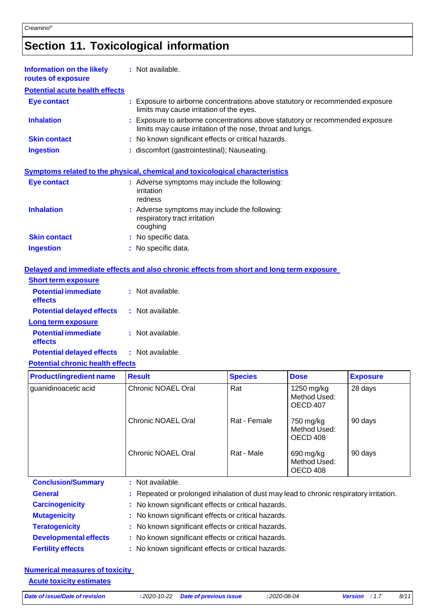## **Section 11. Toxicological information**

| <b>Information on the likely</b><br>routes of exposure | : Not available.                                                                                                                            |
|--------------------------------------------------------|---------------------------------------------------------------------------------------------------------------------------------------------|
| <b>Potential acute health effects</b>                  |                                                                                                                                             |
| Eye contact                                            | : Exposure to airborne concentrations above statutory or recommended exposure<br>limits may cause irritation of the eyes.                   |
| <b>Inhalation</b>                                      | : Exposure to airborne concentrations above statutory or recommended exposure<br>limits may cause irritation of the nose, throat and lungs. |
| <b>Skin contact</b>                                    | : No known significant effects or critical hazards.                                                                                         |
| <b>Ingestion</b>                                       | : discomfort (gastrointestinal); Nauseating.                                                                                                |
|                                                        | Symptoms related to the physical, chemical and toxicological characteristics                                                                |
| <b>Eye contact</b>                                     | : Adverse symptoms may include the following:<br><i>irritation</i><br>redness                                                               |
| <b>Inhalation</b>                                      | : Adverse symptoms may include the following:<br>respiratory tract irritation<br>coughing                                                   |
| <b>Skin contact</b>                                    | : No specific data.                                                                                                                         |
| <b>Ingestion</b>                                       | : No specific data.                                                                                                                         |

### **Delayed and immediate effects and also chronic effects from short and long term exposure**

| <b>Short term exposure</b>              |                  |
|-----------------------------------------|------------------|
| <b>Potential immediate</b><br>effects   | Not available.   |
| <b>Potential delayed effects</b>        | : Not available. |
| Long term exposure                      |                  |
| <b>Potential immediate</b><br>effects   | : Not available. |
| <b>Potential delayed effects</b>        | : Not available. |
| <b>Potential chronic health effects</b> |                  |

#### **Product/ingredient name** Result **Result Result Species Dose Exposure** guanidinoacetic acid Chronic NOAEL Oral Chronic NOAEL Oral Chronic NOAEL Oral Rat Rat - Female Rat - Male 1250 mg/kg Method Used: OECD 407 750 mg/kg Method Used: OECD 408 690 mg/kg Method Used: OECD 408 28 days 90 days 90 days **Conclusion/Summary :** Not available.

| <b>General</b>               | : Repeated or prolonged inhalation of dust may lead to chronic respiratory irritation. |
|------------------------------|----------------------------------------------------------------------------------------|
| <b>Carcinogenicity</b>       | : No known significant effects or critical hazards.                                    |
| <b>Mutagenicity</b>          | : No known significant effects or critical hazards.                                    |
| <b>Teratogenicity</b>        | : No known significant effects or critical hazards.                                    |
| <b>Developmental effects</b> | : No known significant effects or critical hazards.                                    |
| <b>Fertility effects</b>     | : No known significant effects or critical hazards.                                    |

### **Numerical measures of toxicity**

**Acute toxicity estimates**

*Date of issue/Date of revision* **:** *2020-10-22 Date of previous issue :2020-08-04 Version : 1*.*7 8/11*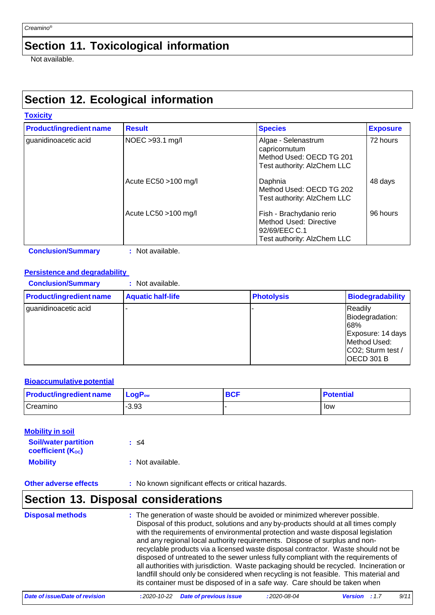## **Section 11. Toxicological information**

Not available.

## **Section 12. Ecological information**

| <b>Product/ingredient name</b> | <b>Result</b>         | <b>Species</b>                                                                                     | <b>Exposure</b> |
|--------------------------------|-----------------------|----------------------------------------------------------------------------------------------------|-----------------|
| guanidinoacetic acid           | NOEC >93.1 mg/l       | Algae - Selenastrum<br>capricornutum<br>Method Used: OECD TG 201<br>Test authority: AlzChem LLC    | 72 hours        |
|                                | Acute EC50 > 100 mg/l | Daphnia<br>Method Used: OECD TG 202<br>Test authority: AlzChem LLC                                 | 48 days         |
|                                | Acute LC50 >100 mg/l  | Fish - Brachydanio rerio<br>Method Used: Directive<br>92/69/EEC C.1<br>Test authority: AlzChem LLC | 96 hours        |

**Conclusion/Summary :** Not available.

### **Persistence and degradability**

| <b>Conclusion/Summary</b>      | : Not available.         |                   |                                                                                                                  |
|--------------------------------|--------------------------|-------------------|------------------------------------------------------------------------------------------------------------------|
| <b>Product/ingredient name</b> | <b>Aquatic half-life</b> | <b>Photolysis</b> | <b>Biodegradability</b>                                                                                          |
| guanidinoacetic acid           |                          |                   | Readily<br>Biodegradation:<br>68%<br>Exposure: 14 days<br>Method Used:<br>CO2; Sturm test /<br><b>OECD 301 B</b> |

### **Bioaccumulative potential**

| <b>Product/ingredient name</b> | <u>ILogP</u> ∾ | <b>BCF</b> | <b>Potential</b> |
|--------------------------------|----------------|------------|------------------|
| Creamino                       | $-3.93$        |            | low              |

| <b>Mobility in soil</b>                                 |                  |
|---------------------------------------------------------|------------------|
| <b>Soil/water partition</b><br><b>coefficient (Koc)</b> | : ≤4             |
| <b>Mobility</b>                                         | : Not available. |

## **Other adverse effects** : No known significant effects or critical hazards.

## **Section 13. Disposal considerations**

| <b>Disposal methods</b> | : The generation of waste should be avoided or minimized wherever possible.<br>Disposal of this product, solutions and any by-products should at all times comply<br>with the requirements of environmental protection and waste disposal legislation<br>and any regional local authority requirements. Dispose of surplus and non-<br>recyclable products via a licensed waste disposal contractor. Waste should not be<br>disposed of untreated to the sewer unless fully compliant with the requirements of<br>all authorities with jurisdiction. Waste packaging should be recycled. Incineration or<br>landfill should only be considered when recycling is not feasible. This material and<br>its container must be disposed of in a safe way. Care should be taken when |
|-------------------------|--------------------------------------------------------------------------------------------------------------------------------------------------------------------------------------------------------------------------------------------------------------------------------------------------------------------------------------------------------------------------------------------------------------------------------------------------------------------------------------------------------------------------------------------------------------------------------------------------------------------------------------------------------------------------------------------------------------------------------------------------------------------------------|
|-------------------------|--------------------------------------------------------------------------------------------------------------------------------------------------------------------------------------------------------------------------------------------------------------------------------------------------------------------------------------------------------------------------------------------------------------------------------------------------------------------------------------------------------------------------------------------------------------------------------------------------------------------------------------------------------------------------------------------------------------------------------------------------------------------------------|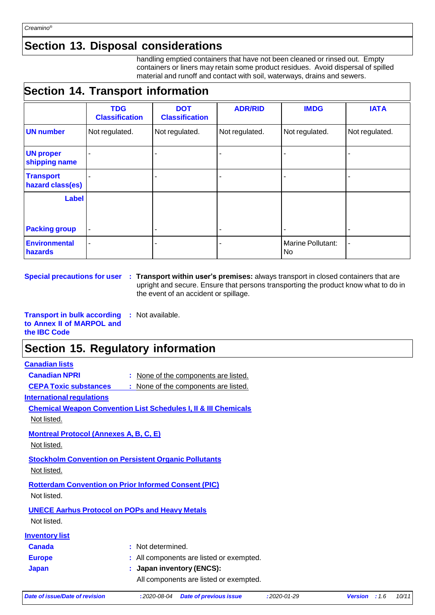### **Section 13. Disposal considerations**

handling emptied containers that have not been cleaned or rinsed out. Empty containers or liners may retain some product residues. Avoid dispersal of spilled material and runoff and contact with soil, waterways, drains and sewers.

## **Section 14. Transport information**

|                                      | <b>TDG</b><br><b>Classification</b> | <b>DOT</b><br><b>Classification</b> | <b>ADR/RID</b> | <b>IMDG</b>                    | <b>IATA</b>    |
|--------------------------------------|-------------------------------------|-------------------------------------|----------------|--------------------------------|----------------|
| <b>UN number</b>                     | Not regulated.                      | Not regulated.                      | Not regulated. | Not regulated.                 | Not regulated. |
| <b>UN proper</b><br>shipping name    |                                     |                                     |                |                                |                |
| <b>Transport</b><br>hazard class(es) |                                     |                                     |                |                                |                |
| <b>Label</b>                         |                                     |                                     |                |                                |                |
| <b>Packing group</b>                 |                                     |                                     |                |                                |                |
| <b>Environmental</b><br>hazards      | ۰                                   |                                     |                | <b>Marine Pollutant:</b><br>No |                |

**Special precautions for user : Transport within user's premises:** always transport in closed containers that are upright and secure. Ensure that persons transporting the product know what to do in the event of an accident or spillage.

**Transport in bulk according to Annex II of MARPOL and the IBC Code :** Not available.

### **Section 15. Regulatory information**

### **Canadian lists**

**Canadian NPRI :** None of the components are listed.

**CEPA Toxic substances :** None of the components are listed.

**International regulations** 

**Chemical Weapon Convention List Schedules I, II & III Chemicals**

Not listed.

**Montreal Protocol (Annexes A, B, C, E)**

Not listed.

**Stockholm Convention on Persistent Organic Pollutants**

Not listed.

**Rotterdam Convention on Prior Informed Consent (PIC)**

Not listed.

### **UNECE Aarhus Protocol on POPs and Heavy Metals**

Not listed.

| <b>Inventory list</b> |
|-----------------------|
|-----------------------|

| <b>Canada</b> | : Not determined.                        |
|---------------|------------------------------------------|
| <b>Europe</b> | : All components are listed or exempted. |
| Japan         | : Japan inventory ( $ENCS$ ):            |
|               | All components are listed or exempted.   |